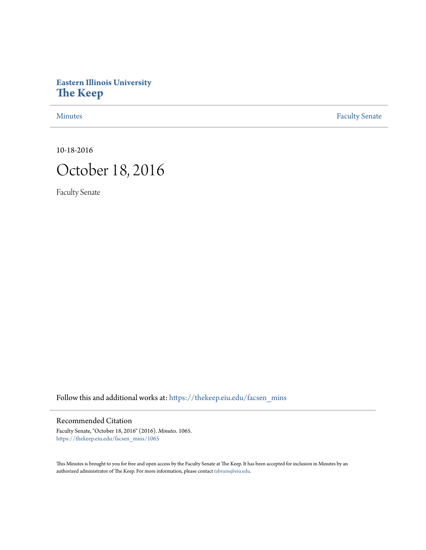# **Eastern Illinois University [The Keep](https://thekeep.eiu.edu?utm_source=thekeep.eiu.edu%2Ffacsen_mins%2F1065&utm_medium=PDF&utm_campaign=PDFCoverPages)**

[Minutes](https://thekeep.eiu.edu/facsen_mins?utm_source=thekeep.eiu.edu%2Ffacsen_mins%2F1065&utm_medium=PDF&utm_campaign=PDFCoverPages) **[Faculty Senate](https://thekeep.eiu.edu/fac_senate?utm_source=thekeep.eiu.edu%2Ffacsen_mins%2F1065&utm_medium=PDF&utm_campaign=PDFCoverPages)** 

10-18-2016



Faculty Senate

Follow this and additional works at: [https://thekeep.eiu.edu/facsen\\_mins](https://thekeep.eiu.edu/facsen_mins?utm_source=thekeep.eiu.edu%2Ffacsen_mins%2F1065&utm_medium=PDF&utm_campaign=PDFCoverPages)

## Recommended Citation

Faculty Senate, "October 18, 2016" (2016). *Minutes*. 1065. [https://thekeep.eiu.edu/facsen\\_mins/1065](https://thekeep.eiu.edu/facsen_mins/1065?utm_source=thekeep.eiu.edu%2Ffacsen_mins%2F1065&utm_medium=PDF&utm_campaign=PDFCoverPages)

This Minutes is brought to you for free and open access by the Faculty Senate at The Keep. It has been accepted for inclusion in Minutes by an authorized administrator of The Keep. For more information, please contact [tabruns@eiu.edu](mailto:tabruns@eiu.edu).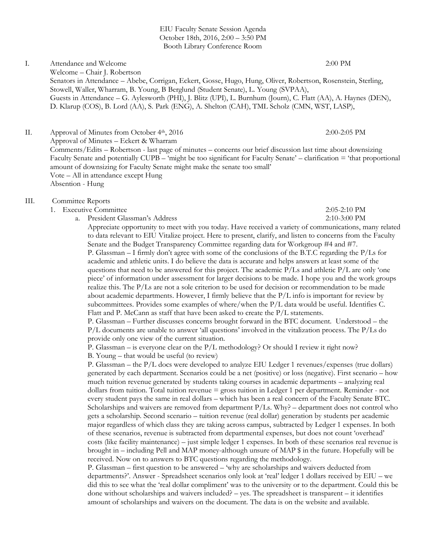EIU Faculty Senate Session Agenda October 18th, 2016, 2:00 – 3:50 PM Booth Library Conference Room

I. Attendance and Welcome 2:00 PM

Welcome – Chair J. Robertson Senators in Attendance – Abebe, Corrigan, Eckert, Gosse, Hugo, Hung, Oliver, Robertson, Rosenstein, Sterling, Stowell, Waller, Wharram, B. Young, B Berglund (Student Senate), L. Young (SVPAA), Guests in Attendance – G. Aylesworth (PHI), J. Blitz (UPI), L. Burnhum (Journ), C. Flatt (AA), A. Haynes (DEN), D. Klarup (COS), B. Lord (AA), S. Park (ENG), A. Shelton (CAH), TML Scholz (CMN, WST, LASP),

II. Approval of Minutes from October 4<sup>th</sup>, 2016 2:00-2:05 PM Approval of Minutes – Eckert & Wharram Comments/Edits – Robertson - last page of minutes – concerns our brief discussion last time about downsizing Faculty Senate and potentially CUPB – 'might be too significant for Faculty Senate' – clarification = 'that proportional amount of downsizing for Faculty Senate might make the senate too small' Vote – All in attendance except Hung Absention - Hung

### III. Committee Reports

- 1. Executive Committee 2:05-2:10 PM
	-

a. President Glassman's Address 2:10-3:00 PM Appreciate opportunity to meet with you today. Have received a variety of communications, many related to data relevant to EIU Vitalize project. Here to present, clarify, and listen to concerns from the Faculty Senate and the Budget Transparency Committee regarding data for Workgroup #4 and #7. P. Glassman – I firmly don't agree with some of the conclusions of the B.T.C regarding the P/Ls for academic and athletic units. I do believe the data is accurate and helps answers at least some of the questions that need to be answered for this project. The academic  $P/L$  and athletic  $P/L$  are only 'one piece' of information under assessment for larger decisions to be made. I hope you and the work groups realize this. The P/Ls are not a sole criterion to be used for decision or recommendation to be made about academic departments. However, I firmly believe that the  $P/L$  info is important for review by subcommittees. Provides some examples of where/when the P/L data would be useful. Identifies C. Flatt and P. McCann as staff that have been asked to create the P/L statements.

P. Glassman – Further discusses concerns brought forward in the BTC document. Understood – the P/L documents are unable to answer 'all questions' involved in the vitalization process. The P/Ls do provide only one view of the current situation.

P. Glassman – is everyone clear on the P/L methodology? Or should I review it right now?

B. Young – that would be useful (to review)

P. Glassman – the P/L docs were developed to analyze EIU Ledger 1 revenues/expenses (true dollars) generated by each department. Scenarios could be a net (positive) or loss (negative). First scenario – how much tuition revenue generated by students taking courses in academic departments – analyzing real dollars from tuition. Total tuition revenue = gross tuition in Ledger 1 per department. Reminder - not every student pays the same in real dollars – which has been a real concern of the Faculty Senate BTC. Scholarships and waivers are removed from department  $P/Ls$ . Why? – department does not control who gets a scholarship. Second scenario – tuition revenue (real dollar) generation by students per academic major regardless of which class they are taking across campus, subtracted by Ledger 1 expenses. In both of these scenarios, revenue is subtracted from departmental expenses, but does not count 'overhead' costs (like facility maintenance) – just simple ledger 1 expenses. In both of these scenarios real revenue is brought in – including Pell and MAP money-although unsure of MAP \$ in the future. Hopefully will be received. Now on to answers to BTC questions regarding the methodology.

P. Glassman – first question to be answered – 'why are scholarships and waivers deducted from departments?'. Answer - Spreadsheet scenarios only look at 'real' ledger 1 dollars received by EIU – we did this to see what the 'real dollar compliment' was to the university or to the department. Could this be done without scholarships and waivers included? – yes. The spreadsheet is transparent – it identifies amount of scholarships and waivers on the document. The data is on the website and available.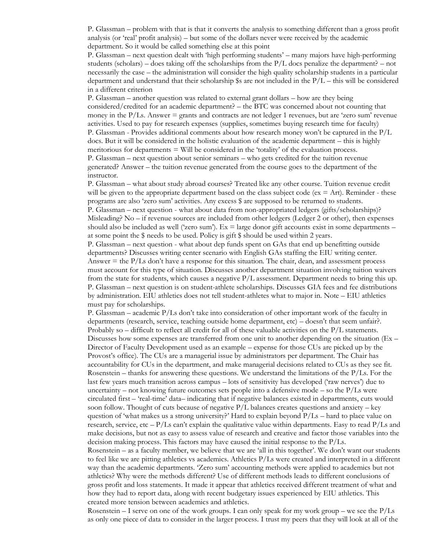P. Glassman – problem with that is that it converts the analysis to something different than a gross profit analysis (or 'real' profit analysis) – but some of the dollars never were received by the academic department. So it would be called something else at this point

P. Glassman – next question dealt with 'high performing students' – many majors have high-performing students (scholars) – does taking off the scholarships from the  $P/L$  docs penalize the department? – not necessarily the case – the administration will consider the high quality scholarship students in a particular department and understand that their scholarship  $\$ s are not included in the  $P/L$  – this will be considered in a different criterion

P. Glassman – another question was related to external grant dollars – how are they being considered/credited for an academic department? – the BTC was concerned about not counting that money in the  $P/Ls$ . Answer = grants and contracts are not ledger 1 revenues, but are 'zero sum' revenue activities. Used to pay for research expenses (supplies, sometimes buying research time for faculty) P. Glassman - Provides additional comments about how research money won't be captured in the P/L docs. But it will be considered in the holistic evaluation of the academic department – this is highly meritorious for departments = Will be considered in the 'totality' of the evaluation process. P. Glassman – next question about senior seminars – who gets credited for the tuition revenue generated? Answer – the tuition revenue generated from the course goes to the department of the instructor.

P. Glassman – what about study abroad courses? Treated like any other course. Tuition revenue credit will be given to the appropriate department based on the class subject code ( $ex = Art$ ). Reminder - these programs are also 'zero sum' activities. Any excess \$ are supposed to be returned to students. P. Glassman – next question - what about data from non-appropriated ledgers (gifts/scholarships)? Misleading? No – if revenue sources are included from other ledgers (Ledger 2 or other), then expenses should also be included as well ('zero sum'). Ex  $=$  large donor gift accounts exist in some departments  $$ at some point the \$ needs to be used. Policy is gift \$ should be used within 2 years.

P. Glassman – next question - what about dep funds spent on GAs that end up benefitting outside departments? Discusses writing center scenario with English GAs staffing the EIU writing center. Answer  $=$  the  $P/Ls$  don't have a response for this situation. The chair, dean, and assessment process must account for this type of situation. Discusses another department situation involving tuition waivers from the state for students, which causes a negative P/L assessment. Department needs to bring this up. P. Glassman – next question is on student-athlete scholarships. Discusses GIA fees and fee distributions by administration. EIU athletics does not tell student-athletes what to major in. Note – EIU athletics must pay for scholarships.

P. Glassman – academic P/Ls don't take into consideration of other important work of the faculty in departments (research, service, teaching outside home department, etc) – doesn't that seem unfair?. Probably so – difficult to reflect all credit for all of these valuable activities on the  $P/L$  statements. Discusses how some expenses are transferred from one unit to another depending on the situation ( $Ex -$ Director of Faculty Development used as an example – expense for those CUs are picked up by the Provost's office). The CUs are a managerial issue by administrators per department. The Chair has accountability for CUs in the department, and make managerial decisions related to CUs as they see fit. Rosenstein – thanks for answering these questions. We understand the limitations of the P/Ls. For the last few years much transition across campus – lots of sensitivity has developed ('raw nerves') due to uncertainty – not knowing future outcomes sets people into a defensive mode – so the  $P/Ls$  were circulated first – 'real-time' data– indicating that if negative balances existed in departments, cuts would soon follow. Thought of cuts because of negative  $P/L$  balances creates questions and anxiety – key question of 'what makes us a strong university?' Hard to explain beyond  $P/Ls$  – hard to place value on research, service, etc –  $P/Ls$  can't explain the qualitative value within departments. Easy to read  $P/Ls$  and make decisions, but not as easy to assess value of research and creative and factor those variables into the decision making process. This factors may have caused the initial response to the P/Ls.

Rosenstein – as a faculty member, we believe that we are 'all in this together'. We don't want our students to feel like we are pitting athletics vs academics. Athletics P/Ls were created and interpreted in a different way than the academic departments. 'Zero sum' accounting methods were applied to academics but not athletics? Why were the methods different? Use of different methods leads to different conclusions of gross profit and loss statements. It made it appear that athletics received different treatment of what and how they had to report data, along with recent budgetary issues experienced by EIU athletics. This created more tension between academics and athletics.

Rosenstein – I serve on one of the work groups. I can only speak for my work group – we see the  $P/Is$ as only one piece of data to consider in the larger process. I trust my peers that they will look at all of the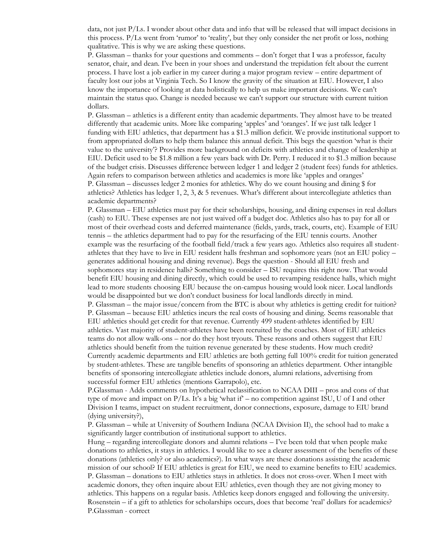data, not just P/Ls. I wonder about other data and info that will be released that will impact decisions in this process. P/Ls went from 'rumor' to 'reality', but they only consider the net profit or loss, nothing qualitative. This is why we are asking these questions.

P. Glassman – thanks for your questions and comments – don't forget that I was a professor, faculty senator, chair, and dean. I've been in your shoes and understand the trepidation felt about the current process. I have lost a job earlier in my career during a major program review – entire department of faculty lost our jobs at Virginia Tech. So I know the gravity of the situation at EIU. However, I also know the importance of looking at data holistically to help us make important decisions. We can't maintain the status quo. Change is needed because we can't support our structure with current tuition dollars.

P. Glassman – athletics is a different entity than academic departments. They almost have to be treated differently that academic units. More like comparing 'apples' and 'oranges'. If we just talk ledger 1 funding with EIU athletics, that department has a \$1.3 million deficit. We provide institutional support to from appropriated dollars to help them balance this annual deficit. This begs the question 'what is their value to the university'? Provides more background on deficits with athletics and change of leadership at EIU. Deficit used to be \$1.8 million a few years back with Dr. Perry. I reduced it to \$1.3 million because of the budget crisis. Discusses difference between ledger 1 and ledger 2 (student fees) funds for athletics. Again refers to comparison between athletics and academics is more like 'apples and oranges' P. Glassman – discusses ledger 2 monies for athletics. Why do we count housing and dining \$ for athletics? Athletics has ledger 1, 2, 3, & 5 revenues. What's different about intercollegiate athletics than academic departments?

P. Glassman – EIU athletics must pay for their scholarships, housing, and dining expenses in real dollars (cash) to EIU. These expenses are not just waived off a budget doc. Athletics also has to pay for all or most of their overhead costs and deferred maintenance (fields, yards, track, courts, etc). Example of EIU tennis – the athletics department had to pay for the resurfacing of the EIU tennis courts. Another example was the resurfacing of the football field/track a few years ago. Athletics also requires all studentathletes that they have to live in EIU resident halls freshman and sophomore years (not an EIU policy – generates additional housing and dining revenue). Begs the question - Should all EIU fresh and sophomores stay in residence halls? Something to consider – ISU requires this right now. That would benefit EIU housing and dining directly, which could be used to revamping residence halls, which might lead to more students choosing EIU because the on-campus housing would look nicer. Local landlords would be disappointed but we don't conduct business for local landlords directly in mind.

P. Glassman – the major issue/concern from the BTC is about why athletics is getting credit for tuition? P. Glassman – because EIU athletics incurs the real costs of housing and dining. Seems reasonable that EIU athletics should get credit for that revenue. Currently 499 student-athletes identified by EIU athletics. Vast majority of student-athletes have been recruited by the coaches. Most of EIU athletics teams do not allow walk-ons – nor do they host tryouts. These reasons and others suggest that EIU athletics should benefit from the tuition revenue generated by these students. How much credit? Currently academic departments and EIU athletics are both getting full 100% credit for tuition generated by student-athletes. These are tangible benefits of sponsoring an athletics department. Other intangible benefits of sponsoring intercollegiate athletics include donors, alumni relations, advertising from successful former EIU athletics (mentions Garrapolo), etc.

P.Glassman - Adds comments on hypothetical reclassification to NCAA DIII – pros and cons of that type of move and impact on  $P/Ls$ . It's a big 'what if' – no competition against ISU, U of I and other Division I teams, impact on student recruitment, donor connections, exposure, damage to EIU brand (dying university?),

P. Glassman – while at University of Southern Indiana (NCAA Division II), the school had to make a significantly larger contribution of institutional support to athletics.

Hung – regarding intercollegiate donors and alumni relations – I've been told that when people make donations to athletics, it stays in athletics. I would like to see a clearer assessment of the benefits of these donations (athletics only? or also academics?). In what ways are these donations assisting the academic mission of our school? If EIU athletics is great for EIU, we need to examine benefits to EIU academics. P. Glassman – donations to EIU athletics stays in athletics. It does not cross-over. When I meet with academic donors, they often inquire about EIU athletics, even though they are not giving money to athletics. This happens on a regular basis. Athletics keep donors engaged and following the university. Rosenstein – if a gift to athletics for scholarships occurs, does that become 'real' dollars for academics? P.Glassman - correct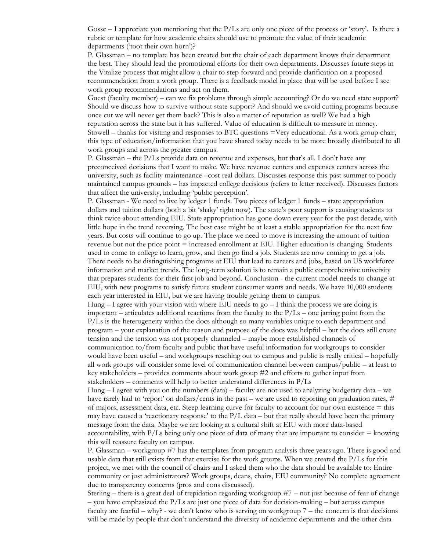Gosse – I appreciate you mentioning that the P/Ls are only one piece of the process or 'story'. Is there a rubric or template for how academic chairs should use to promote the value of their academic departments ('toot their own horn')?

P. Glassman – no template has been created but the chair of each department knows their department the best. They should lead the promotional efforts for their own departments. Discusses future steps in the Vitalize process that might allow a chair to step forward and provide clarification on a proposed recommendation from a work group. There is a feedback model in place that will be used before I see work group recommendations and act on them.

Guest (faculty member) – can we fix problems through simple accounting? Or do we need state support? Should we discuss how to survive without state support? And should we avoid cutting programs because once cut we will never get them back? This is also a matter of reputation as well? We had a high reputation across the state but it has suffered. Value of education is difficult to measure in money. Stowell – thanks for visiting and responses to BTC questions =Very educational. As a work group chair, this type of education/information that you have shared today needs to be more broadly distributed to all work groups and across the greater campus.

P. Glassman – the P/Ls provide data on revenue and expenses, but that's all. I don't have any preconceived decisions that I want to make. We have revenue centers and expenses centers across the university, such as facility maintenance –cost real dollars. Discusses response this past summer to poorly maintained campus grounds – has impacted college decisions (refers to letter received). Discusses factors that affect the university, including 'public perception'.

P. Glassman - We need to live by ledger 1 funds. Two pieces of ledger 1 funds – state appropriation dollars and tuition dollars (both a bit 'shaky' right now). The state's poor support is causing students to think twice about attending EIU. State appropriation has gone down every year for the past decade, with little hope in the trend reversing. The best case might be at least a stable appropriation for the next few years. But costs will continue to go up. The place we need to move is increasing the amount of tuition revenue but not the price point = increased enrollment at EIU. Higher education is changing. Students used to come to college to learn, grow, and then go find a job. Students are now coming to get a job. There needs to be distinguishing programs at EIU that lead to careers and jobs, based on US workforce information and market trends. The long-term solution is to remain a public comprehensive university that prepares students for their first job and beyond. Conclusion - the current model needs to change at EIU, with new programs to satisfy future student consumer wants and needs. We have 10,000 students each year interested in EIU, but we are having trouble getting them to campus.

Hung  $-1$  agree with your vision with where EIU needs to go  $-1$  think the process we are doing is important – articulates additional reactions from the faculty to the  $P/Ls$  – one jarring point from the P/Ls is the heterogeneity within the docs although so many variables unique to each department and program – your explanation of the reason and purpose of the docs was helpful – but the docs still create tension and the tension was not properly channeled – maybe more established channels of communication to/from faculty and public that have useful information for workgroups to consider would have been useful – and workgroups reaching out to campus and public is really critical – hopefully all work groups will consider some level of communication channel between campus/public – at least to key stakeholders – provides comments about work group #2 and efforts to gather input from stakeholders – comments will help to better understand differences in P/Ls

Hung  $-1$  agree with you on the numbers (data) – faculty are not used to analyzing budgetary data – we have rarely had to 'report' on dollars/cents in the past – we are used to reporting on graduation rates,  $\#$ of majors, assessment data, etc. Steep learning curve for faculty to account for our own existence = this may have caused a 'reactionary response' to the  $P/L$  data – but that really should have been the primary message from the data. Maybe we are looking at a cultural shift at EIU with more data-based accountability, with  $P/Ls$  being only one piece of data of many that are important to consider  $=$  knowing this will reassure faculty on campus.

P. Glassman – workgroup #7 has the templates from program analysis three years ago. There is good and usable data that still exists from that exercise for the work groups. When we created the P/Ls for this project, we met with the council of chairs and I asked them who the data should be available to: Entire community or just administrators? Work groups, deans, chairs, EIU community? No complete agreement due to transparency concerns (pros and cons discussed).

Sterling – there is a great deal of trepidation regarding workgroup #7 – not just because of fear of change  $-$  you have emphasized the P/Ls are just one piece of data for decision-making  $-$  but across campus faculty are fearful – why? - we don't know who is serving on workgroup 7 – the concern is that decisions will be made by people that don't understand the diversity of academic departments and the other data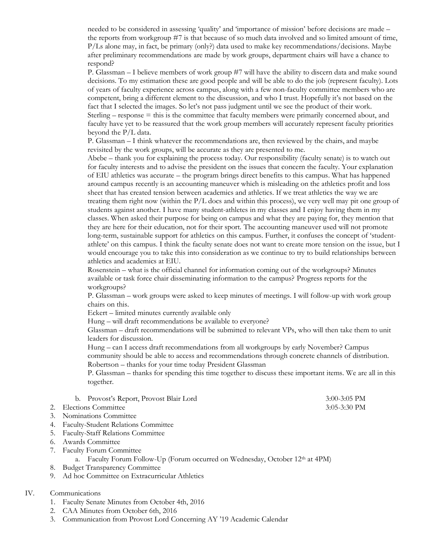needed to be considered in assessing 'quality' and 'importance of mission' before decisions are made – the reports from workgroup #7 is that because of so much data involved and so limited amount of time, P/Ls alone may, in fact, be primary (only?) data used to make key recommendations/decisions. Maybe after preliminary recommendations are made by work groups, department chairs will have a chance to respond?

P. Glassman – I believe members of work group #7 will have the ability to discern data and make sound decisions. To my estimation these are good people and will be able to do the job (represent faculty). Lots of years of faculty experience across campus, along with a few non-faculty committee members who are competent, bring a different element to the discussion, and who I trust. Hopefully it's not based on the fact that I selected the images. So let's not pass judgment until we see the product of their work. Sterling – response = this is the committee that faculty members were primarily concerned about, and faculty have yet to be reassured that the work group members will accurately represent faculty priorities beyond the P/L data.

P. Glassman – I think whatever the recommendations are, then reviewed by the chairs, and maybe revisited by the work groups, will be accurate as they are presented to me.

Abebe – thank you for explaining the process today. Our responsibility (faculty senate) is to watch out for faculty interests and to advise the president on the issues that concern the faculty. Your explanation of EIU athletics was accurate – the program brings direct benefits to this campus. What has happened around campus recently is an accounting maneuver which is misleading on the athletics profit and loss sheet that has created tension between academics and athletics. If we treat athletics the way we are treating them right now (within the P/L docs and within this process), we very well may pit one group of students against another. I have many student-athletes in my classes and I enjoy having them in my classes. When asked their purpose for being on campus and what they are paying for, they mention that they are here for their education, not for their sport. The accounting maneuver used will not promote long-term, sustainable support for athletics on this campus. Further, it confuses the concept of 'studentathlete' on this campus. I think the faculty senate does not want to create more tension on the issue, but I would encourage you to take this into consideration as we continue to try to build relationships between athletics and academics at EIU.

Rosenstein – what is the official channel for information coming out of the workgroups? Minutes available or task force chair disseminating information to the campus? Progress reports for the workgroups?

P. Glassman – work groups were asked to keep minutes of meetings. I will follow-up with work group chairs on this.

Eckert – limited minutes currently available only

Hung – will draft recommendations be available to everyone?

Glassman – draft recommendations will be submitted to relevant VPs, who will then take them to unit leaders for discussion.

Hung – can I access draft recommendations from all workgroups by early November? Campus community should be able to access and recommendations through concrete channels of distribution. Robertson – thanks for your time today President Glassman

P. Glassman – thanks for spending this time together to discuss these important items. We are all in this together.

| b. Provost's Report, Provost Blair Lord | $3:00-3:05$ PM |
|-----------------------------------------|----------------|
| 2. Elections Committee                  | $3:05-3:30$ PM |
| 3. Nominations Committee                |                |

- 4. Faculty-Student Relations Committee
- 5. Faculty-Staff Relations Committee
- 6. Awards Committee
- 7. Faculty Forum Committee
	- a. Faculty Forum Follow-Up (Forum occurred on Wednesday, October 12th at 4PM)
- 8. Budget Transparency Committee
- 9. Ad hoc Committee on Extracurricular Athletics

#### IV. Communications

- 1. Faculty Senate Minutes from October 4th, 2016
- 2. CAA Minutes from October 6th, 2016
- 3. Communication from Provost Lord Concerning AY '19 Academic Calendar